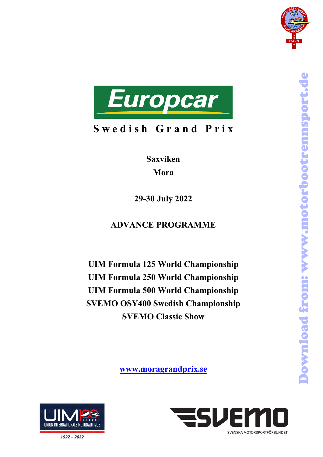



**Saxviken Mora**

**29-30 July 2022** 

# **ADVANCE PROGRAMME**

**UIM Formula 125 World Championship UIM Formula 250 World Championship UIM Formula 500 World Championship SVEMO OSY400 Swedish Championship SVEMO Classic Show**

**[www.moragrandprix.se](http://www.moragrandprix.se/)**





 $1922 - 2022$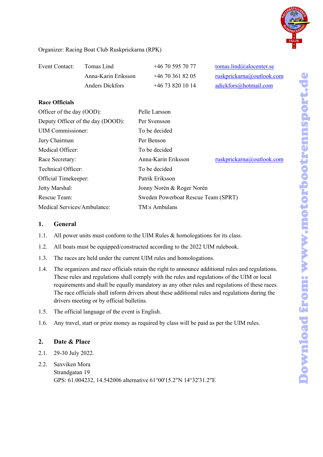

Organizer: Racing Boat Club Ruskprickarna (RPK)

| Event Contact: | Tomas Lind          | $+46705957077$     | tomas.lind@alocenter.se   |
|----------------|---------------------|--------------------|---------------------------|
|                | Anna-Karin Eriksson | $+46$ 70 361 82 05 | ruskprickarna@outlook.com |
|                | Anders Dickfors     | $+46$ 73 820 10 14 | adickfors@hotmail.com     |

#### **Race Officials**

| Officer of the day (OOD):         | Pelle Larsson                       |                           |
|-----------------------------------|-------------------------------------|---------------------------|
| Deputy Officer of the day (DOOD): | Per Svensson                        |                           |
| <b>UIM</b> Commissioner:          | To be decided                       |                           |
| Jury Chairman                     | Per Benson                          |                           |
| Medical Officer:                  | To be decided                       |                           |
| Race Secretary:                   | Anna-Karin Eriksson                 | ruskprickarna@outlook.com |
| Technical Officer:                | To be decided                       |                           |
| Official Timekeeper:              | Patrik Eriksson                     |                           |
| Jetty Marshal:                    | Jonny Norén & Roger Norén           |                           |
| Rescue Team:                      | Sweden Powerboat Rescue Team (SPRT) |                           |
| Medical Services/Ambulance:       | TM:s Ambulans                       |                           |

#### **1. General**

- 1.1. All power units must conform to the UIM Rules & homologations for its class.
- 1.2. All boats must be equipped/constructed according to the 2022 UIM rulebook.
- 1.3. The races are held under the current UIM rules and homologations.
- 1.4. The organizers and race officials retain the right to announce additional rules and regulations. These rules and regulations shall comply with the rules and regulations of the UIM or local requirements and shall be equally mandatory as any other rules and regulations of these races. The race officials shall inform drivers about these additional rules and regulations during the drivers meeting or by official bulletins.
- 1.5. The official language of the event is English.
- 1.6. Any travel, start or prize money as required by class will be paid as per the UIM rules.

## **2. Date & Place**

- 2.1. 29-30 July 2022.
- 2.2. Saxviken Mora Strandgatan 19 GPS: 61.004232, 14.542006 alternative 61°00'15.2"N 14°32'31.2"E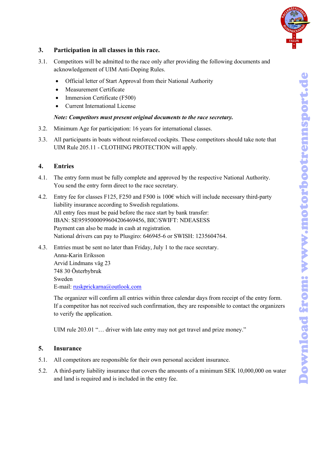

## **3. Participation in all classes in this race.**

- 3.1. Competitors will be admitted to the race only after providing the following documents and acknowledgement of UIM Anti-Doping Rules.
	- Official letter of Start Approval from their National Authority
	- Measurement Certificate
	- Immersion Certificate (F500)
	- Current International License

## *Note: Competitors must present original documents to the race secretary.*

- 3.2. Minimum Age for participation: 16 years for international classes.
- 3.3. All participants in boats without reinforced cockpits. These competitors should take note that UIM Rule 205.11 - CLOTHING PROTECTION will apply.

## **4. Entries**

- 4.1. The entry form must be fully complete and approved by the respective National Authority. You send the entry form direct to the race secretary.
- 4.2. Entry fee for classes F125, F250 and F500 is 100€ which will include necessary third-party liability insurance according to Swedish regulations. All entry fees must be paid before the race start by bank transfer: IBAN: SE9595000099604206469456, BIC/SWIFT: NDEASESS Payment can also be made in cash at registration. National drivers can pay to Plusgiro: 646945-6 or SWISH: 1235604764. • Official letter of Start Approval from their National Authority<br>
• Meansurement Certificate<br>
• Itameration Certificate<br>
• Current International Licence<br>
• Current International Licence<br>
Minimum Age for perticipation: 16
- 4.3. Entries must be sent no later than Friday, July 1 to the race secretary. Anna-Karin Eriksson Arvid Lindmans väg 23 748 30 Österbybruk Sweden E-mail: [ruskprickarna@outlook.com](mailto:ruskprickarna@outlook.com)

The organizer will confirm all entries within three calendar days from receipt of the entry form. If a competitor has not received such confirmation, they are responsible to contact the organizers to verify the application.

UIM rule 203.01 "... driver with late entry may not get travel and prize money."

## **5. Insurance**

- 5.1. All competitors are responsible for their own personal accident insurance.
- 5.2. A third-party liability insurance that covers the amounts of a minimum SEK 10,000,000 on water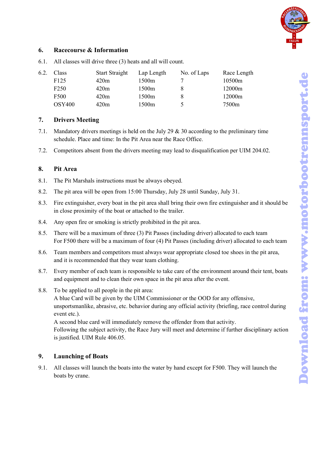

## **6. Racecourse & Information**

| 6.2. | <b>Class</b>     | <b>Start Straight</b> | Lap Length        | No. of Laps | Race Length |
|------|------------------|-----------------------|-------------------|-------------|-------------|
|      | F <sub>125</sub> | 420m                  | 1500m             |             | 10500m      |
|      | F <sub>250</sub> | 420m                  | 1500 <sub>m</sub> |             | 12000m      |
|      | F500             | 420m                  | 1500m             |             | 12000m      |
|      | <b>OSY400</b>    | 420m                  | 1500m             |             | 7500m       |

6.1. All classes will drive three (3) heats and all will count.

## **7. Drivers Meeting**

- 7.1. Mandatory drivers meetings is held on the July 29 & 30 according to the preliminary time schedule. Place and time: In the Pit Area near the Race Office.
- 7.2. Competitors absent from the drivers meeting may lead to disqualification per UIM 204.02.

## **8. Pit Area**

- 8.1. The Pit Marshals instructions must be always obeyed.
- 8.2. The pit area will be open from 15:00 Thursday, July 28 until Sunday, July 31.
- 8.3. Fire extinguisher, every boat in the pit area shall bring their own fire extinguisher and it should be in close proximity of the boat or attached to the trailer.
- 8.4. Any open fire or smoking is strictly prohibited in the pit area.
- 8.5. There will be a maximum of three (3) Pit Passes (including driver) allocated to each team For F500 there will be a maximum of four (4) Pit Passes (including driver) allocated to each team
- 8.6. Team members and competitors must always wear appropriate closed toe shoes in the pit area, and it is recommended that they wear team clothing.
- 8.7. Every member of each team is responsible to take care of the environment around their tent, boats and equipment and to clean their own space in the pit area after the event.
- 8.8. To be applied to all people in the pit area:

A blue Card will be given by the UIM Commissioner or the OOD for any offensive, unsportsmanlike, abrasive, etc. behavior during any official activity (briefing, race control during event etc.).

A second blue card will immediately remove the offender from that activity. Following the subject activity, the Race Jury will meet and determine if further disciplinary action is justified. UIM Rule 406.05.

## **9. Launching of Boats**

9.1. All classes will launch the boats into the water by hand except for F500. They will launch the boats by crane.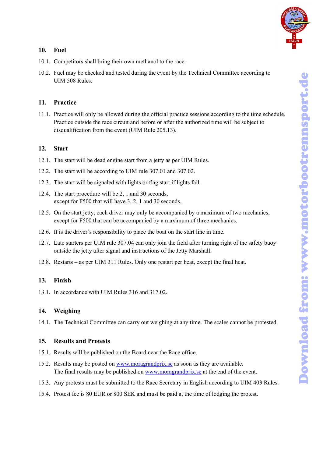

#### **10. Fuel**

- 10.1. Competitors shall bring their own methanol to the race.
- 10.2. Fuel may be checked and tested during the event by the Technical Committee according to UIM 508 Rules.

#### **11. Practice**

11.1. Practice will only be allowed during the official practice sessions according to the time schedule. Practice outside the race circuit and before or after the authorized time will be subject to disqualification from the event (UIM Rule 205.13).

## **12. Start**

- 12.1. The start will be dead engine start from a jetty as per UIM Rules.
- 12.2. The start will be according to UIM rule 307.01 and 307.02.
- 12.3. The start will be signaled with lights or flag start if lights fail.
- 12.4. The start procedure will be 2, 1 and 30 seconds, except for F500 that will have 3, 2, 1 and 30 seconds.
- 12.5. On the start jetty, each driver may only be accompanied by a maximum of two mechanics, except for F500 that can be accompanied by a maximum of three mechanics.
- 12.6. It is the driver's responsibility to place the boat on the start line in time.
- 12.7. Late starters per UIM rule 307.04 can only join the field after turning right of the safety buoy outside the jetty after signal and instructions of the Jetty Marshall.
- 12.8. Restarts as per UIM 311 Rules. Only one restart per heat, except the final heat.

## **13. Finish**

13.1. In accordance with UIM Rules 316 and 317.02.

#### **14. Weighing**

14.1. The Technical Committee can carry out weighing at any time. The scales cannot be protested.

#### **15. Results and Protests**

- 15.1. Results will be published on the Board near the Race office.
- 15.2. Results may be posted on [www.moragrandprix.se](http://www.moragrandprix.se/) as soon as they are available. The final results may be published on [www.moragrandprix.se](http://www.moragrandprix.se/) at the end of the event.
- 15.3. Any protests must be submitted to the Race Secretary in English according to UIM 403 Rules.
- 15.4. Protest fee is 80 EUR or 800 SEK and must be paid at the time of lodging the protest.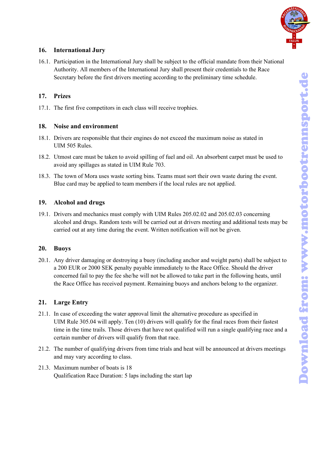

## **16. International Jury**

16.1. Participation in the International Jury shall be subject to the official mandate from their National Authority. All members of the International Jury shall present their credentials to the Race Secretary before the first drivers meeting according to the preliminary time schedule.

## **17. Prizes**

17.1. The first five competitors in each class will receive trophies.

#### **18. Noise and environment**

- 18.1. Drivers are responsible that their engines do not exceed the maximum noise as stated in UIM 505 Rules.
- 18.2. Utmost care must be taken to avoid spilling of fuel and oil. An absorbent carpet must be used to avoid any spillages as stated in UIM Rule 703.
- 18.3. The town of Mora uses waste sorting bins. Teams must sort their own waste during the event. Blue card may be applied to team members if the local rules are not applied.

#### **19. Alcohol and drugs**

19.1. Drivers and mechanics must comply with UIM Rules 205.02.02 and 205.02.03 concerning alcohol and drugs. Random tests will be carried out at drivers meeting and additional tests may be carried out at any time during the event. Written notification will not be given.

#### **20. Buoys**

20.1. Any driver damaging or destroying a buoy (including anchor and weight parts) shall be subject to a 200 EUR or 2000 SEK penalty payable immediately to the Race Office. Should the driver concerned fail to pay the fee she/he will not be allowed to take part in the following heats, until the Race Office has received payment. Remaining buoys and anchors belong to the organizer.

## **21. Large Entry**

- 21.1. In case of exceeding the water approval limit the alternative procedure as specified in UIM Rule 305.04 will apply. Ten (10) drivers will qualify for the final races from their fastest time in the time trails. Those drivers that have not qualified will run a single qualifying race and a certain number of drivers will qualify from that race.
- 21.2. The number of qualifying drivers from time trials and heat will be announced at drivers meetings and may vary according to class.
- 21.3. Maximum number of boats is 18 Qualification Race Duration: 5 laps including the start lap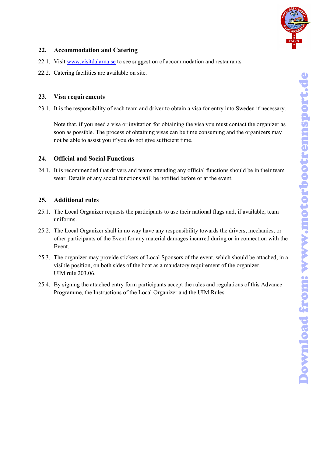

## **22. Accommodation and Catering**

- 22.1. Visit [www.visitdalarna.se](https://www.visitdalarna.se/en/mora) to see suggestion of accommodation and restaurants.
- 22.2. Catering facilities are available on site.

## **23. Visa requirements**

23.1. It is the responsibility of each team and driver to obtain a visa for entry into Sweden if necessary.

Note that, if you need a visa or invitation for obtaining the visa you must contact the organizer as soon as possible. The process of obtaining visas can be time consuming and the organizers may not be able to assist you if you do not give sufficient time.

## **24. Official and Social Functions**

24.1. It is recommended that drivers and teams attending any official functions should be in their team wear. Details of any social functions will be notified before or at the event.

## **25. Additional rules**

- 25.1. The Local Organizer requests the participants to use their national flags and, if available, team uniforms.
- 25.2. The Local Organizer shall in no way have any responsibility towards the drivers, mechanics, or other participants of the Event for any material damages incurred during or in connection with the Event.
- 25.3. The organizer may provide stickers of Local Sponsors of the event, which should be attached, in a visible position, on both sides of the boat as a mandatory requirement of the organizer. UIM rule 203.06.
- 25.4. By signing the attached entry form participants accept the rules and regulations of this Advance Programme, the Instructions of the Local Organizer and the UIM Rules.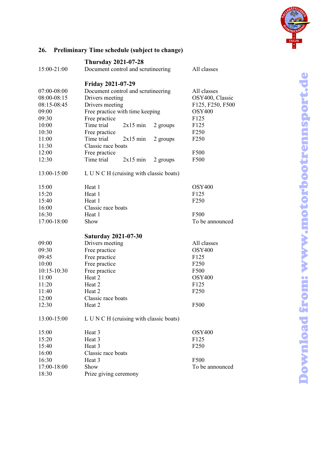

## **26. Preliminary Time schedule (subject to change)**

|             | <b>Thursday 2021-07-28</b>              |            |          |                  |
|-------------|-----------------------------------------|------------|----------|------------------|
| 15:00-21:00 | Document control and scrutineering      |            |          | All classes      |
|             | <b>Friday 2021-07-29</b>                |            |          |                  |
| 07:00-08:00 | Document control and scrutineering      |            |          | All classes      |
| 08:00-08:15 | Drivers meeting                         |            |          | OSY400, Classic  |
| 08:15-08:45 | Drivers meeting                         |            |          | F125, F250, F500 |
| 09:00       | Free practice with time keeping         |            |          | <b>OSY400</b>    |
| 09:30       | Free practice                           |            |          | F125             |
| 10:00       | Time trial                              | $2x15$ min | 2 groups | F <sub>125</sub> |
| 10:30       | Free practice                           |            |          | F <sub>250</sub> |
| 11:00       | Time trial                              | $2x15$ min | 2 groups | F <sub>250</sub> |
| 11:30       | Classic race boats                      |            |          |                  |
| 12:00       | Free practice                           |            |          | F500             |
| 12:30       | Time trial                              | $2x15$ min | 2 groups | F500             |
| 13:00-15:00 | L U N C H (cruising with classic boats) |            |          |                  |
| 15:00       | Heat 1                                  |            |          | <b>OSY400</b>    |
| 15:20       | Heat 1                                  |            |          | F <sub>125</sub> |
| 15:40       | Heat 1                                  |            |          | F <sub>250</sub> |
| 16:00       | Classic race boats                      |            |          |                  |
| 16:30       | Heat 1                                  |            |          | F500             |
| 17:00-18:00 | Show                                    |            |          | To be announced  |
|             | <b>Saturday 2021-07-30</b>              |            |          |                  |
| 09:00       | Drivers meeting                         |            |          | All classes      |
| 09:30       | Free practice                           |            |          | <b>OSY400</b>    |
| 09:45       | Free practice                           |            |          | F125             |
| 10:00       | Free practice                           |            |          | F <sub>250</sub> |
| 10:15-10:30 | Free practice                           |            |          | F500             |
| 11:00       | Heat 2                                  |            |          | <b>OSY400</b>    |
| 11:20       | Heat 2                                  |            |          | F125             |
| 11:40       | Heat 2                                  |            |          | F <sub>250</sub> |
| 12:00       | Classic race boats                      |            |          |                  |
| 12:30       | Heat 2                                  |            |          | F500             |
| 13:00-15:00 | L U N C H (cruising with classic boats) |            |          |                  |
| 15:00       | Heat 3                                  |            |          | <b>OSY400</b>    |
| 15:20       | Heat 3                                  |            |          | F125             |
| 15:40       | Heat 3<br>F <sub>250</sub>              |            |          |                  |
| 16:00       | Classic race boats                      |            |          |                  |
| 16:30       | Heat 3                                  |            |          | F500             |
| 17:00-18:00 | Show                                    |            |          | To be announced  |
| 18:30       | Prize giving ceremony                   |            |          |                  |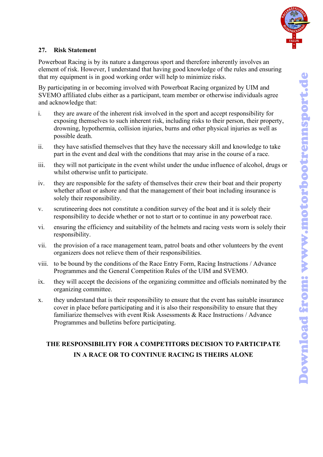

## **27. Risk Statement**

Powerboat Racing is by its nature a dangerous sport and therefore inherently involves an element of risk. However, I understand that having good knowledge of the rules and ensuring that my equipment is in good working order will help to minimize risks.

By participating in or becoming involved with Powerboat Racing organized by UIM and SVEMO affiliated clubs either as a participant, team member or otherwise individuals agree and acknowledge that:

- i. they are aware of the inherent risk involved in the sport and accept responsibility for exposing themselves to such inherent risk, including risks to their person, their property, drowning, hypothermia, collision injuries, burns and other physical injuries as well as possible death.
- ii. they have satisfied themselves that they have the necessary skill and knowledge to take part in the event and deal with the conditions that may arise in the course of a race.
- iii. they will not participate in the event whilst under the undue influence of alcohol, drugs or whilst otherwise unfit to participate.
- iv. they are responsible for the safety of themselves their crew their boat and their property whether afloat or ashore and that the management of their boat including insurance is solely their responsibility.
- v. scrutineering does not constitute a condition survey of the boat and it is solely their responsibility to decide whether or not to start or to continue in any powerboat race.
- vi. ensuring the efficiency and suitability of the helmets and racing vests worn is solely their responsibility.
- vii. the provision of a race management team, patrol boats and other volunteers by the event organizers does not relieve them of their responsibilities.
- viii. to be bound by the conditions of the Race Entry Form, Racing Instructions / Advance Programmes and the General Competition Rules of the UIM and SVEMO.
- ix. they will accept the decisions of the organizing committee and officials nominated by the organizing committee.
- x. they understand that is their responsibility to ensure that the event has suitable insurance cover in place before participating and it is also their responsibility to ensure that they familiarize themselves with event Risk Assessments & Race Instructions / Advance Programmes and bulletins before participating.

## **THE RESPONSIBILITY FOR A COMPETITORS DECISION TO PARTICIPATE IN A RACE OR TO CONTINUE RACING IS THEIRS ALONE**